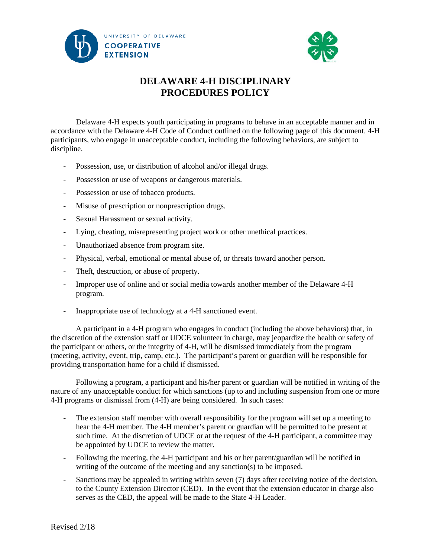



## **DELAWARE 4-H DISCIPLINARY PROCEDURES POLICY**

Delaware 4-H expects youth participating in programs to behave in an acceptable manner and in accordance with the Delaware 4-H Code of Conduct outlined on the following page of this document. 4-H participants, who engage in unacceptable conduct, including the following behaviors, are subject to discipline.

- Possession, use, or distribution of alcohol and/or illegal drugs.
- Possession or use of weapons or dangerous materials.
- Possession or use of tobacco products.
- Misuse of prescription or nonprescription drugs.
- Sexual Harassment or sexual activity.
- Lying, cheating, misrepresenting project work or other unethical practices.
- Unauthorized absence from program site.
- Physical, verbal, emotional or mental abuse of, or threats toward another person.
- Theft, destruction, or abuse of property.
- Improper use of online and or social media towards another member of the Delaware 4-H program.
- Inappropriate use of technology at a 4-H sanctioned event.

A participant in a 4-H program who engages in conduct (including the above behaviors) that, in the discretion of the extension staff or UDCE volunteer in charge, may jeopardize the health or safety of the participant or others, or the integrity of 4-H, will be dismissed immediately from the program (meeting, activity, event, trip, camp, etc.). The participant's parent or guardian will be responsible for providing transportation home for a child if dismissed.

Following a program, a participant and his/her parent or guardian will be notified in writing of the nature of any unacceptable conduct for which sanctions (up to and including suspension from one or more 4-H programs or dismissal from (4-H) are being considered. In such cases:

- The extension staff member with overall responsibility for the program will set up a meeting to hear the 4-H member. The 4-H member's parent or guardian will be permitted to be present at such time. At the discretion of UDCE or at the request of the 4-H participant, a committee may be appointed by UDCE to review the matter.
- Following the meeting, the 4-H participant and his or her parent/guardian will be notified in writing of the outcome of the meeting and any sanction(s) to be imposed.
- Sanctions may be appealed in writing within seven (7) days after receiving notice of the decision, to the County Extension Director (CED). In the event that the extension educator in charge also serves as the CED, the appeal will be made to the State 4-H Leader.